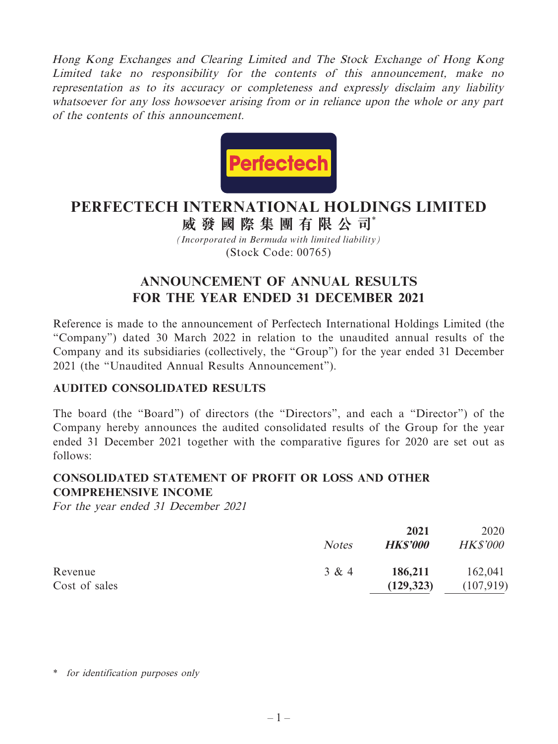Hong Kong Exchanges and Clearing Limited and The Stock Exchange of Hong Kong Limited take no responsibility for the contents of this announcement, make no representation as to its accuracy or completeness and expressly disclaim any liability whatsoever for any loss howsoever arising from or in reliance upon the whole or any part of the contents of this announcement.



# **PERFECTECH INTERNATIONAL HOLDINGS LIMITED**

*(Incorporated in Bermuda with limited liability)* **威發國際集團有限公司**\*

(Stock Code: 00765)

# **ANNOUNCEMENT OF ANNUAL RESULTS FOR THE YEAR ENDED 31 DECEMBER 2021**

Reference is made to the announcement of Perfectech International Holdings Limited (the "Company") dated 30 March 2022 in relation to the unaudited annual results of the Company and its subsidiaries (collectively, the "Group") for the year ended 31 December 2021 (the "Unaudited Annual Results Announcement").

### **AUDITED CONSOLIDATED RESULTS**

The board (the "Board") of directors (the "Directors", and each a "Director") of the Company hereby announces the audited consolidated results of the Group for the year ended 31 December 2021 together with the comparative figures for 2020 are set out as follows:

# **CONSOLIDATED STATEMENT OF PROFIT OR LOSS AND OTHER COMPREHENSIVE INCOME**

For the year ended 31 December 2021

|               |              | 2021            | 2020            |
|---------------|--------------|-----------------|-----------------|
|               | <b>Notes</b> | <b>HK\$'000</b> | <b>HK\$'000</b> |
| Revenue       | 3 & 4        | 186,211         | 162,041         |
| Cost of sales |              | (129, 323)      | (107, 919)      |

\* for identification purposes only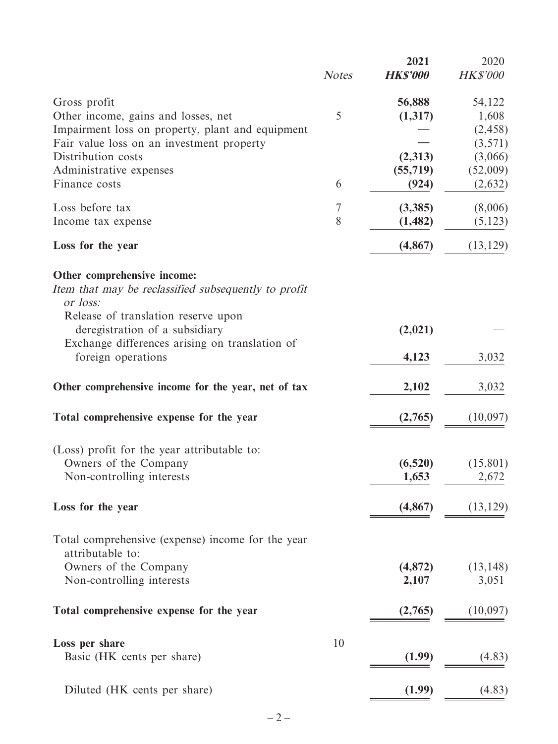|                                                                                                                                        | <b>Notes</b> | 2021<br><b>HK\$'000</b> | 2020<br><b>HK\$'000</b> |
|----------------------------------------------------------------------------------------------------------------------------------------|--------------|-------------------------|-------------------------|
| Gross profit<br>Other income, gains and losses, net                                                                                    | 5            | 56,888<br>(1,317)       | 54,122<br>1,608         |
| Impairment loss on property, plant and equipment<br>Fair value loss on an investment property                                          |              |                         | (2, 458)<br>(3,571)     |
| Distribution costs                                                                                                                     |              | (2,313)                 | (3,066)                 |
| Administrative expenses<br>Finance costs                                                                                               | 6            | (55, 719)<br>(924)      | (52,009)<br>(2,632)     |
| Loss before tax                                                                                                                        | 7            | (3,385)                 | (8,006)                 |
| Income tax expense                                                                                                                     | 8            | (1, 482)                | (5, 123)                |
| Loss for the year                                                                                                                      |              | (4, 867)                | (13, 129)               |
| Other comprehensive income:<br>Item that may be reclassified subsequently to profit<br>or loss:<br>Release of translation reserve upon |              |                         |                         |
| deregistration of a subsidiary<br>Exchange differences arising on translation of                                                       |              | (2,021)                 |                         |
| foreign operations                                                                                                                     |              | 4,123                   | 3,032                   |
| Other comprehensive income for the year, net of tax                                                                                    |              | 2,102                   | 3,032                   |
| Total comprehensive expense for the year                                                                                               |              | (2,765)                 | (10,097)                |
| (Loss) profit for the year attributable to:                                                                                            |              |                         |                         |
| Owners of the Company<br>Non-controlling interests                                                                                     |              | (6,520)<br>1,653        | (15, 801)<br>2,672      |
| Loss for the year                                                                                                                      |              | (4, 867)                | (13, 129)               |
| Total comprehensive (expense) income for the year                                                                                      |              |                         |                         |
| attributable to:<br>Owners of the Company                                                                                              |              | (4, 872)                | (13, 148)               |
| Non-controlling interests                                                                                                              |              | 2,107                   | 3,051                   |
| Total comprehensive expense for the year                                                                                               |              | (2,765)                 | (10,097)                |
| Loss per share                                                                                                                         | 10           |                         |                         |
| Basic (HK cents per share)                                                                                                             |              | (1.99)                  | (4.83)                  |
| Diluted (HK cents per share)                                                                                                           |              | (1.99)                  | (4.83)                  |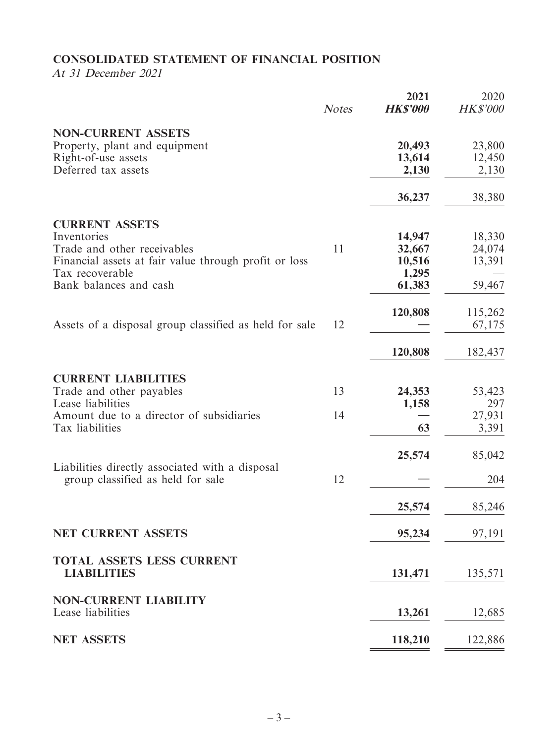# **CONSOLIDATED STATEMENT OF FINANCIAL POSITION**

At 31 December 2021

|                                                                                      | <b>Notes</b> | 2021<br><b>HK\$'000</b> | 2020<br><b>HK\$'000</b> |
|--------------------------------------------------------------------------------------|--------------|-------------------------|-------------------------|
| <b>NON-CURRENT ASSETS</b><br>Property, plant and equipment                           |              | 20,493                  | 23,800                  |
| Right-of-use assets<br>Deferred tax assets                                           |              | 13,614<br>2,130         | 12,450<br>2,130         |
|                                                                                      |              | 36,237                  | 38,380                  |
| <b>CURRENT ASSETS</b><br>Inventories                                                 |              | 14,947                  | 18,330                  |
| Trade and other receivables                                                          | 11           | 32,667                  | 24,074                  |
| Financial assets at fair value through profit or loss<br>Tax recoverable             |              | 10,516<br>1,295         | 13,391                  |
| Bank balances and cash                                                               |              | 61,383                  | 59,467                  |
| Assets of a disposal group classified as held for sale                               | 12           | 120,808                 | 115,262<br>67,175       |
|                                                                                      |              | 120,808                 | 182,437                 |
|                                                                                      |              |                         |                         |
| <b>CURRENT LIABILITIES</b>                                                           |              |                         |                         |
| Trade and other payables                                                             | 13           | 24,353                  | 53,423                  |
| Lease liabilities<br>Amount due to a director of subsidiaries                        | 14           | 1,158                   | 297<br>27,931           |
| Tax liabilities                                                                      |              | 63                      | 3,391                   |
|                                                                                      |              | 25,574                  | 85,042                  |
| Liabilities directly associated with a disposal<br>group classified as held for sale | 12           |                         | 204                     |
|                                                                                      |              | 25,574                  | 85,246                  |
| <b>NET CURRENT ASSETS</b>                                                            |              | 95,234                  | 97,191                  |
| <b>TOTAL ASSETS LESS CURRENT</b><br><b>LIABILITIES</b>                               |              | 131,471                 | 135,571                 |
| <b>NON-CURRENT LIABILITY</b>                                                         |              |                         |                         |
| Lease liabilities                                                                    |              | 13,261                  | 12,685                  |
| <b>NET ASSETS</b>                                                                    |              | 118,210                 | 122,886                 |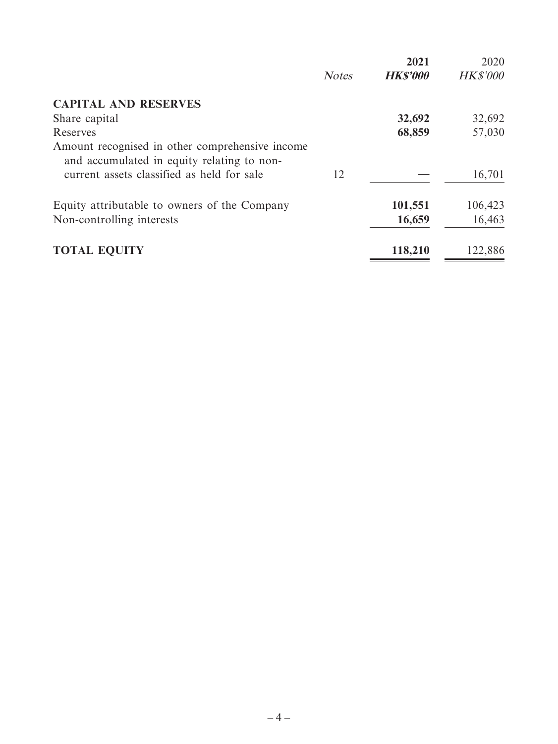|                                                                                               |              | 2021            | 2020            |
|-----------------------------------------------------------------------------------------------|--------------|-----------------|-----------------|
|                                                                                               | <b>Notes</b> | <b>HK\$'000</b> | <b>HK\$'000</b> |
| <b>CAPITAL AND RESERVES</b>                                                                   |              |                 |                 |
| Share capital                                                                                 |              | 32,692          | 32,692          |
| Reserves                                                                                      |              | 68,859          | 57,030          |
| Amount recognised in other comprehensive income<br>and accumulated in equity relating to non- |              |                 |                 |
| current assets classified as held for sale                                                    | 12           |                 | 16,701          |
| Equity attributable to owners of the Company                                                  |              | 101,551         | 106,423         |
| Non-controlling interests                                                                     |              | 16,659          | 16,463          |
| <b>TOTAL EQUITY</b>                                                                           |              | 118,210         | 122,886         |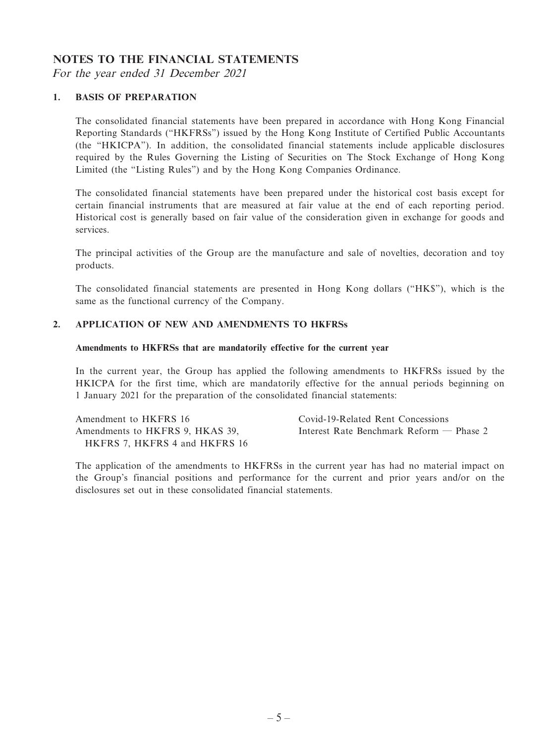#### **NOTES TO THE FINANCIAL STATEMENTS**

For the year ended 31 December 2021

#### **1. BASIS OF PREPARATION**

The consolidated financial statements have been prepared in accordance with Hong Kong Financial Reporting Standards ("HKFRSs") issued by the Hong Kong Institute of Certified Public Accountants (the "HKICPA"). In addition, the consolidated financial statements include applicable disclosures required by the Rules Governing the Listing of Securities on The Stock Exchange of Hong Kong Limited (the "Listing Rules") and by the Hong Kong Companies Ordinance.

The consolidated financial statements have been prepared under the historical cost basis except for certain financial instruments that are measured at fair value at the end of each reporting period. Historical cost is generally based on fair value of the consideration given in exchange for goods and services.

The principal activities of the Group are the manufacture and sale of novelties, decoration and toy products.

The consolidated financial statements are presented in Hong Kong dollars ("HK\$"), which is the same as the functional currency of the Company.

#### **2. APPLICATION OF NEW AND AMENDMENTS TO HKFRSs**

#### **Amendments to HKFRSs that are mandatorily effective for the current year**

In the current year, the Group has applied the following amendments to HKFRSs issued by the HKICPA for the first time, which are mandatorily effective for the annual periods beginning on 1 January 2021 for the preparation of the consolidated financial statements:

| Amendment to HKFRS 16           | Covid-19-Related Rent Concessions          |
|---------------------------------|--------------------------------------------|
| Amendments to HKFRS 9, HKAS 39, | Interest Rate Benchmark Reform $-$ Phase 2 |
| HKFRS 7. HKFRS 4 and HKFRS 16   |                                            |

The application of the amendments to HKFRSs in the current year has had no material impact on the Group's financial positions and performance for the current and prior years and/or on the disclosures set out in these consolidated financial statements.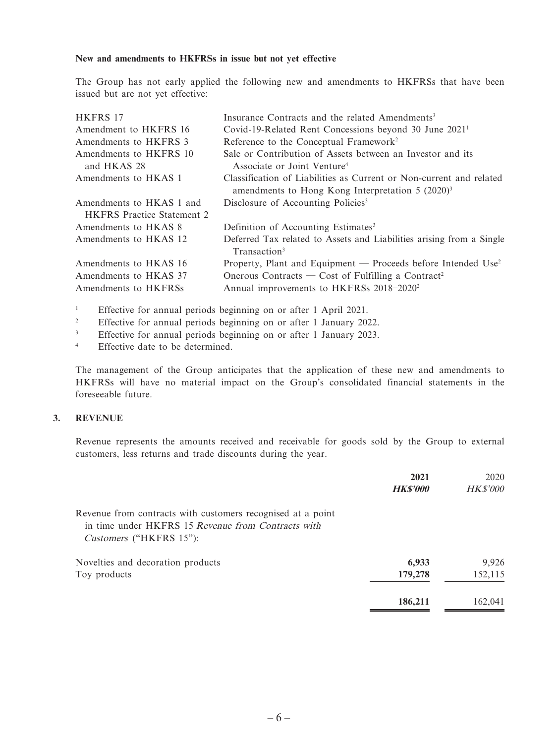#### **New and amendments to HKFRSs in issue but not yet effective**

The Group has not early applied the following new and amendments to HKFRSs that have been issued but are not yet effective:

| HKFRS 17                          | Insurance Contracts and the related Amendments <sup>3</sup>                                      |
|-----------------------------------|--------------------------------------------------------------------------------------------------|
| Amendment to HKFRS 16             | Covid-19-Related Rent Concessions beyond 30 June 2021 <sup>1</sup>                               |
| Amendments to HKFRS 3             | Reference to the Conceptual Framework <sup>2</sup>                                               |
| Amendments to HKFRS 10            | Sale or Contribution of Assets between an Investor and its                                       |
| and HKAS 28                       | Associate or Joint Venture <sup>4</sup>                                                          |
| Amendments to HKAS 1              | Classification of Liabilities as Current or Non-current and related                              |
|                                   | amendments to Hong Kong Interpretation $5(2020)^3$                                               |
| Amendments to HKAS 1 and          | Disclosure of Accounting Policies <sup>3</sup>                                                   |
| <b>HKFRS</b> Practice Statement 2 |                                                                                                  |
| Amendments to HKAS 8              | Definition of Accounting Estimates <sup>3</sup>                                                  |
| Amendments to HKAS 12             | Deferred Tax related to Assets and Liabilities arising from a Single<br>Transaction <sup>3</sup> |
| Amendments to HKAS 16             | Property, Plant and Equipment — Proceeds before Intended Use <sup>2</sup>                        |
| Amendments to HKAS 37             | Onerous Contracts — Cost of Fulfilling a Contract <sup>2</sup>                                   |
| Amendments to HKFRSs              | Annual improvements to HKFRSs 2018-2020 <sup>2</sup>                                             |

1 Effective for annual periods beginning on or after 1 April 2021.

- 2 Effective for annual periods beginning on or after 1 January 2022.
- 3 Effective for annual periods beginning on or after 1 January 2023.
- 4 Effective date to be determined.

The management of the Group anticipates that the application of these new and amendments to HKFRSs will have no material impact on the Group's consolidated financial statements in the foreseeable future.

#### **3. REVENUE**

Revenue represents the amounts received and receivable for goods sold by the Group to external customers, less returns and trade discounts during the year.

|                                                                                                                                              | 2021            | 2020            |
|----------------------------------------------------------------------------------------------------------------------------------------------|-----------------|-----------------|
|                                                                                                                                              | <b>HK\$'000</b> | <b>HK\$'000</b> |
| Revenue from contracts with customers recognised at a point<br>in time under HKFRS 15 Revenue from Contracts with<br>Customers ("HKFRS 15"): |                 |                 |
| Novelties and decoration products                                                                                                            | 6,933           | 9.926           |
| Toy products                                                                                                                                 | 179,278         | 152,115         |
|                                                                                                                                              | 186,211         | 162.041         |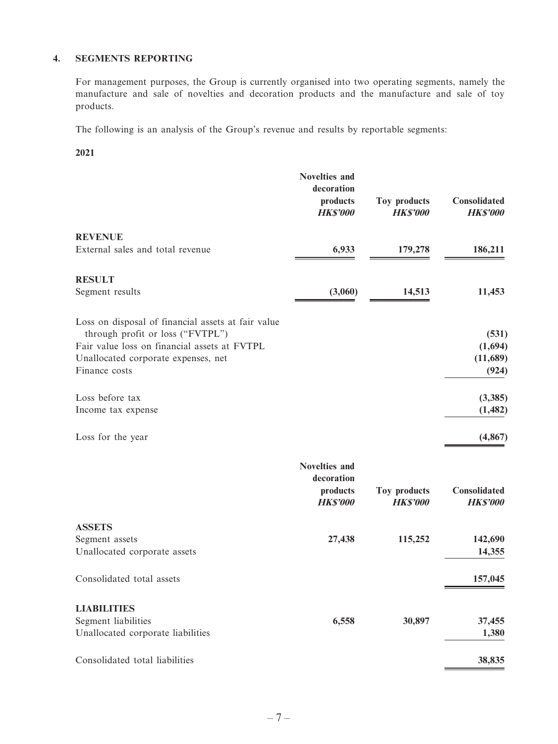#### **4. SEGMENTS REPORTING**

For management purposes, the Group is currently organised into two operating segments, namely the manufacture and sale of novelties and decoration products and the manufacture and sale of toy products.

The following is an analysis of the Group's revenue and results by reportable segments:

**2021**

|                                                                                  | <b>Novelties and</b><br>decoration<br>products<br><b>HK\$'000</b> | Toy products<br><b>HKS'000</b> | Consolidated<br><b>HK\$'000</b> |
|----------------------------------------------------------------------------------|-------------------------------------------------------------------|--------------------------------|---------------------------------|
| <b>REVENUE</b>                                                                   |                                                                   |                                |                                 |
| External sales and total revenue                                                 | 6,933                                                             | 179,278                        | 186,211                         |
| <b>RESULT</b>                                                                    |                                                                   |                                |                                 |
| Segment results                                                                  | (3,060)                                                           | 14,513                         | 11,453                          |
| Loss on disposal of financial assets at fair value                               |                                                                   |                                |                                 |
| through profit or loss ("FVTPL")<br>Fair value loss on financial assets at FVTPL |                                                                   |                                | (531)                           |
| Unallocated corporate expenses, net                                              |                                                                   |                                | (1,694)<br>(11,689)             |
| Finance costs                                                                    |                                                                   |                                | (924)                           |
| Loss before tax                                                                  |                                                                   |                                | (3, 385)                        |
| Income tax expense                                                               |                                                                   |                                | (1, 482)                        |
| Loss for the year                                                                |                                                                   |                                | (4, 867)                        |
|                                                                                  | <b>Novelties and</b>                                              |                                |                                 |
|                                                                                  | decoration                                                        |                                |                                 |
|                                                                                  | products<br><b>HK\$'000</b>                                       | Toy products<br><b>HKS'000</b> | Consolidated<br><b>HKS'000</b>  |
| <b>ASSETS</b>                                                                    |                                                                   |                                |                                 |
| Segment assets                                                                   | 27,438                                                            | 115,252                        | 142,690                         |
| Unallocated corporate assets                                                     |                                                                   |                                | 14,355                          |
| Consolidated total assets                                                        |                                                                   |                                | 157,045                         |
| <b>LIABILITIES</b>                                                               |                                                                   |                                |                                 |
| Segment liabilities                                                              | 6,558                                                             | 30,897                         | 37,455                          |
| Unallocated corporate liabilities                                                |                                                                   |                                | 1,380                           |
| Consolidated total liabilities                                                   |                                                                   |                                | 38,835                          |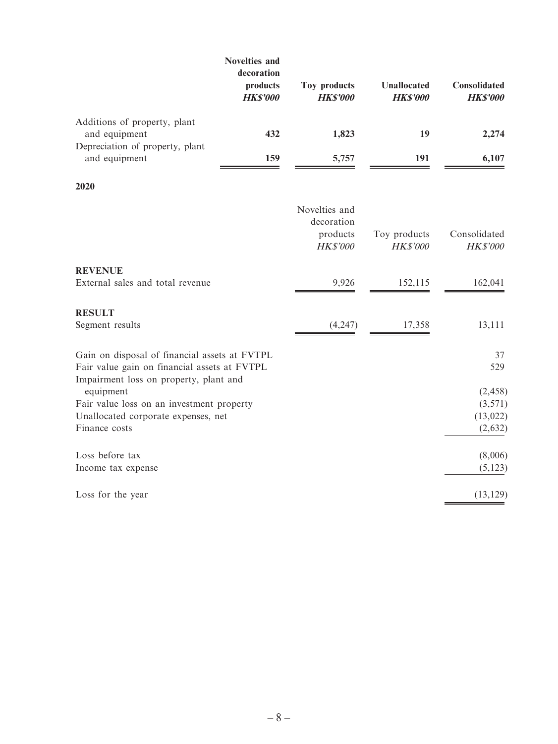|                                                  | Novelties and<br>decoration<br>products<br><b>HKS'000</b> | Toy products<br><b>HKS'000</b> | <b>Unallocated</b><br><b>HKS'000</b> | <b>Consolidated</b><br><b>HKS'000</b> |
|--------------------------------------------------|-----------------------------------------------------------|--------------------------------|--------------------------------------|---------------------------------------|
| Additions of property, plant<br>and equipment    | 432                                                       | 1,823                          | 19                                   | 2,274                                 |
| Depreciation of property, plant<br>and equipment | 159                                                       | 5,757                          | 191                                  | 6,107                                 |

**2020**

|                                               | Novelties and<br>decoration<br>products<br><b>HK\$'000</b> | Toy products<br><b>HK\$'000</b> | Consolidated<br><b>HK\$'000</b> |
|-----------------------------------------------|------------------------------------------------------------|---------------------------------|---------------------------------|
| <b>REVENUE</b>                                |                                                            |                                 |                                 |
| External sales and total revenue              | 9,926                                                      | 152,115                         | 162,041                         |
| <b>RESULT</b>                                 |                                                            |                                 |                                 |
| Segment results                               | (4,247)                                                    | 17,358                          | 13,111                          |
| Gain on disposal of financial assets at FVTPL |                                                            |                                 | 37                              |
| Fair value gain on financial assets at FVTPL  |                                                            |                                 | 529                             |
| Impairment loss on property, plant and        |                                                            |                                 |                                 |
| equipment                                     |                                                            |                                 | (2, 458)                        |
| Fair value loss on an investment property     |                                                            |                                 | (3,571)                         |
| Unallocated corporate expenses, net           |                                                            |                                 | (13, 022)                       |
| Finance costs                                 |                                                            |                                 | (2,632)                         |
| Loss before tax                               |                                                            |                                 | (8,006)                         |
| Income tax expense                            |                                                            |                                 | (5, 123)                        |
| Loss for the year                             |                                                            |                                 | (13, 129)                       |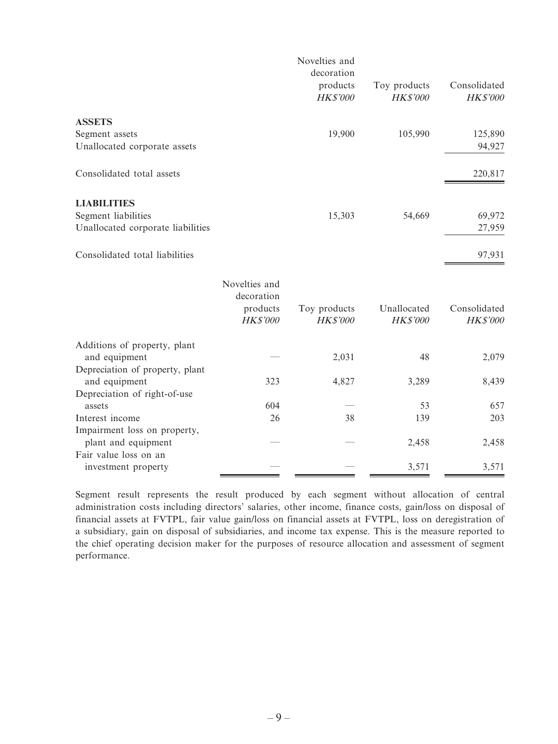|                                   |                             | Novelties and<br>decoration |              |                 |
|-----------------------------------|-----------------------------|-----------------------------|--------------|-----------------|
|                                   |                             | products                    | Toy products | Consolidated    |
|                                   |                             | HK\$'000                    | HK\$'000     | <b>HK\$'000</b> |
| <b>ASSETS</b>                     |                             |                             |              |                 |
| Segment assets                    |                             | 19,900                      | 105,990      | 125,890         |
| Unallocated corporate assets      |                             |                             |              | 94,927          |
| Consolidated total assets         |                             |                             |              | 220,817         |
| <b>LIABILITIES</b>                |                             |                             |              |                 |
| Segment liabilities               |                             | 15,303                      | 54,669       | 69,972          |
| Unallocated corporate liabilities |                             |                             |              | 27,959          |
| Consolidated total liabilities    |                             |                             |              | 97,931          |
|                                   | Novelties and<br>decoration |                             |              |                 |
|                                   | products                    | Toy products                | Unallocated  | Consolidated    |
|                                   | HK\$'000                    | HK\$'000                    | HK\$'000     | HK\$'000        |
| Additions of property, plant      |                             |                             |              |                 |
| and equipment                     |                             | 2,031                       | 48           | 2,079           |
| Depreciation of property, plant   |                             |                             |              |                 |
| and equipment                     | 323                         | 4,827                       | 3,289        | 8,439           |
| Depreciation of right-of-use      |                             |                             |              |                 |
| assets                            | 604                         |                             | 53           | 657             |
| Interest income                   | 26                          | 38                          | 139          | 203             |
| Impairment loss on property,      |                             |                             |              |                 |
| plant and equipment               |                             |                             | 2,458        | 2,458           |
| Fair value loss on an             |                             |                             |              |                 |
| investment property               |                             |                             | 3,571        | 3,571           |

Segment result represents the result produced by each segment without allocation of central administration costs including directors' salaries, other income, finance costs, gain/loss on disposal of financial assets at FVTPL, fair value gain/loss on financial assets at FVTPL, loss on deregistration of a subsidiary, gain on disposal of subsidiaries, and income tax expense. This is the measure reported to the chief operating decision maker for the purposes of resource allocation and assessment of segment performance.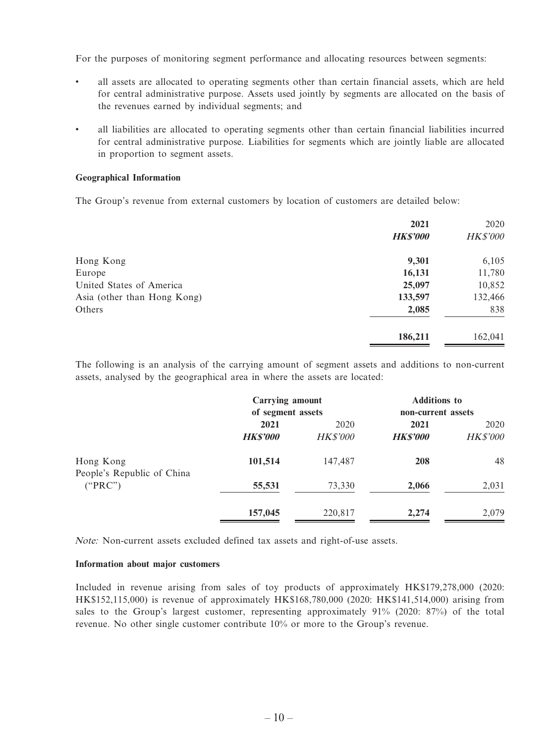For the purposes of monitoring segment performance and allocating resources between segments:

- all assets are allocated to operating segments other than certain financial assets, which are held for central administrative purpose. Assets used jointly by segments are allocated on the basis of the revenues earned by individual segments; and
- all liabilities are allocated to operating segments other than certain financial liabilities incurred for central administrative purpose. Liabilities for segments which are jointly liable are allocated in proportion to segment assets.

#### **Geographical Information**

The Group's revenue from external customers by location of customers are detailed below:

|                             | 2021<br><b>HK\$'000</b> | 2020<br><b>HK\$'000</b> |
|-----------------------------|-------------------------|-------------------------|
| Hong Kong                   | 9,301                   | 6,105                   |
| Europe                      | 16,131                  | 11,780                  |
| United States of America    | 25,097                  | 10,852                  |
| Asia (other than Hong Kong) | 133,597                 | 132,466                 |
| Others                      | 2,085                   | 838                     |
|                             | 186,211                 | 162,041                 |

The following is an analysis of the carrying amount of segment assets and additions to non-current assets, analysed by the geographical area in where the assets are located:

|                                         | Carrying amount<br>of segment assets |                         | <b>Additions to</b><br>non-current assets |                         |
|-----------------------------------------|--------------------------------------|-------------------------|-------------------------------------------|-------------------------|
|                                         | 2021<br><b>HK\$'000</b>              | 2020<br><i>HK\$'000</i> | 2021<br><b>HKS'000</b>                    | 2020<br><b>HK\$'000</b> |
| Hong Kong<br>People's Republic of China | 101,514                              | 147,487                 | 208                                       | 48                      |
| ("PRC")                                 | 55,531                               | 73,330                  | 2,066                                     | 2,031                   |
|                                         | 157,045                              | 220,817                 | 2,274                                     | 2,079                   |

Note: Non-current assets excluded defined tax assets and right-of-use assets.

#### **Information about major customers**

Included in revenue arising from sales of toy products of approximately HK\$179,278,000 (2020: HK\$152,115,000) is revenue of approximately HK\$168,780,000 (2020: HK\$141,514,000) arising from sales to the Group's largest customer, representing approximately 91% (2020: 87%) of the total revenue. No other single customer contribute 10% or more to the Group's revenue.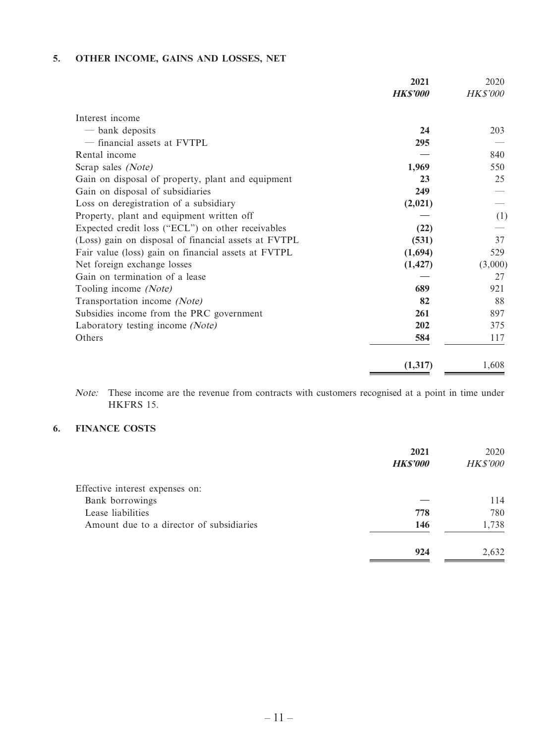#### **5. OTHER INCOME, GAINS AND LOSSES, NET**

|                                                      | 2021<br><b>HKS'000</b> | 2020<br><b>HK\$'000</b> |
|------------------------------------------------------|------------------------|-------------------------|
|                                                      |                        |                         |
| Interest income                                      |                        |                         |
| - bank deposits                                      | 24                     | 203                     |
| - financial assets at FVTPL                          | 295                    |                         |
| Rental income                                        |                        | 840                     |
| Scrap sales (Note)                                   | 1,969                  | 550                     |
| Gain on disposal of property, plant and equipment    | 23                     | 25                      |
| Gain on disposal of subsidiaries                     | 249                    |                         |
| Loss on deregistration of a subsidiary               | (2,021)                |                         |
| Property, plant and equipment written off            |                        | (1)                     |
| Expected credit loss ("ECL") on other receivables    | (22)                   |                         |
| (Loss) gain on disposal of financial assets at FVTPL | (531)                  | 37                      |
| Fair value (loss) gain on financial assets at FVTPL  | (1,694)                | 529                     |
| Net foreign exchange losses                          | (1, 427)               | (3,000)                 |
| Gain on termination of a lease                       |                        | 27                      |
| Tooling income (Note)                                | 689                    | 921                     |
| Transportation income (Note)                         | 82                     | 88                      |
| Subsidies income from the PRC government             | 261                    | 897                     |
| Laboratory testing income (Note)                     | 202                    | 375                     |
| Others                                               | 584                    | 117                     |
|                                                      | (1, 317)               | 1,608                   |

Note: These income are the revenue from contracts with customers recognised at a point in time under HKFRS 15.

#### **6. FINANCE COSTS**

|                                          | 2021            | 2020            |
|------------------------------------------|-----------------|-----------------|
|                                          | <b>HK\$'000</b> | <b>HK\$'000</b> |
| Effective interest expenses on:          |                 |                 |
| Bank borrowings                          |                 | 114             |
| Lease liabilities                        | 778             | 780             |
| Amount due to a director of subsidiaries | 146             | 1,738           |
|                                          | 924             | 2,632           |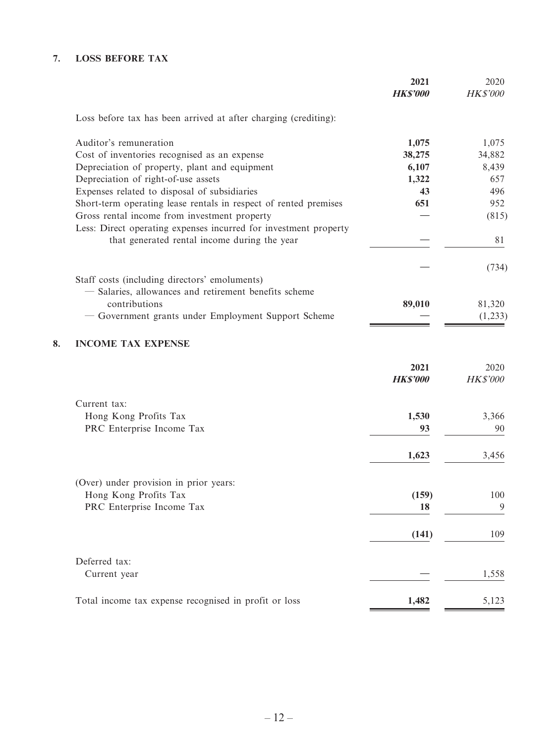### **7. LOSS BEFORE TAX**

|                                                                  | 2021<br><b>HK\$'000</b> | 2020<br><b>HK\$'000</b> |
|------------------------------------------------------------------|-------------------------|-------------------------|
| Loss before tax has been arrived at after charging (crediting):  |                         |                         |
| Auditor's remuneration                                           | 1,075                   | 1,075                   |
| Cost of inventories recognised as an expense                     | 38,275                  | 34,882                  |
| Depreciation of property, plant and equipment                    | 6,107                   | 8,439                   |
| Depreciation of right-of-use assets                              | 1,322                   | 657                     |
| Expenses related to disposal of subsidiaries                     | 43                      | 496                     |
| Short-term operating lease rentals in respect of rented premises | 651                     | 952                     |
| Gross rental income from investment property                     |                         | (815)                   |
| Less: Direct operating expenses incurred for investment property |                         |                         |
| that generated rental income during the year                     |                         | 81                      |
|                                                                  |                         | (734)                   |
| Staff costs (including directors' emoluments)                    |                         |                         |
| - Salaries, allowances and retirement benefits scheme            |                         |                         |
| contributions                                                    | 89,010                  | 81,320                  |
| - Government grants under Employment Support Scheme              |                         | (1,233)                 |
| 8.<br><b>INCOME TAX EXPENSE</b>                                  |                         |                         |
|                                                                  | 2021                    | 2020                    |
|                                                                  | <b>HK\$'000</b>         | <b>HK\$'000</b>         |
| Current tax:                                                     |                         |                         |
| Hong Kong Profits Tax                                            | 1,530                   | 3,366                   |
| PRC Enterprise Income Tax                                        | 93                      | 90                      |
|                                                                  |                         |                         |
|                                                                  | 1,623                   | 3,456                   |
|                                                                  |                         |                         |
| (Over) under provision in prior years:<br>Hong Kong Profits Tax  | (159)                   | 100                     |
| PRC Enterprise Income Tax                                        | 18                      | 9                       |
|                                                                  |                         |                         |
|                                                                  | (141)                   | 109                     |
|                                                                  |                         |                         |
| Deferred tax:                                                    |                         |                         |
| Current year                                                     |                         | 1,558                   |
| Total income tax expense recognised in profit or loss            | 1,482                   | 5,123                   |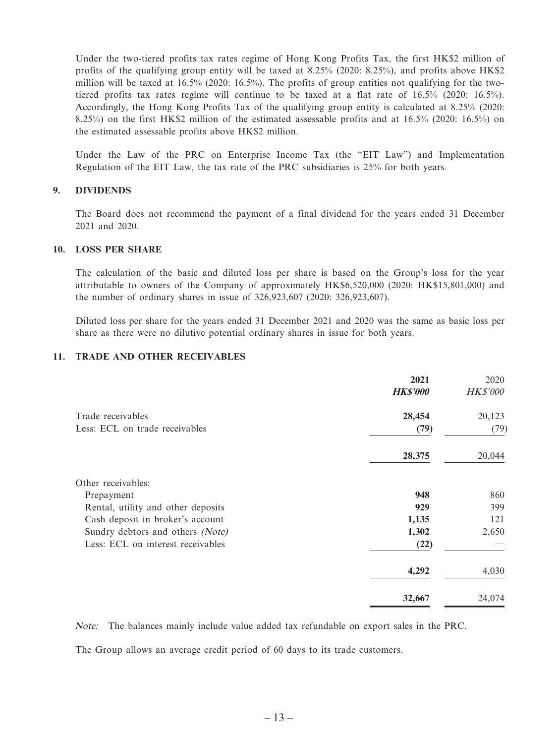Under the two-tiered profits tax rates regime of Hong Kong Profits Tax, the first HK\$2 million of profits of the qualifying group entity will be taxed at 8.25% (2020: 8.25%), and profits above HK\$2 million will be taxed at 16.5% (2020: 16.5%). The profits of group entities not qualifying for the twotiered profits tax rates regime will continue to be taxed at a flat rate of 16.5% (2020: 16.5%). Accordingly, the Hong Kong Profits Tax of the qualifying group entity is calculated at 8.25% (2020: 8.25%) on the first HK\$2 million of the estimated assessable profits and at 16.5% (2020: 16.5%) on the estimated assessable profits above HK\$2 million.

Under the Law of the PRC on Enterprise Income Tax (the "EIT Law") and Implementation Regulation of the EIT Law, the tax rate of the PRC subsidiaries is 25% for both years.

#### **9. DIVIDENDS**

The Board does not recommend the payment of a final dividend for the years ended 31 December 2021 and 2020.

#### **10. LOSS PER SHARE**

The calculation of the basic and diluted loss per share is based on the Group's loss for the year attributable to owners of the Company of approximately HK\$6,520,000 (2020: HK\$15,801,000) and the number of ordinary shares in issue of 326,923,607 (2020: 326,923,607).

Diluted loss per share for the years ended 31 December 2021 and 2020 was the same as basic loss per share as there were no dilutive potential ordinary shares in issue for both years.

#### **11. TRADE AND OTHER RECEIVABLES**

|                                    | 2021            | 2020            |
|------------------------------------|-----------------|-----------------|
|                                    | <b>HK\$'000</b> | <b>HK\$'000</b> |
| Trade receivables                  | 28,454          | 20,123          |
| Less: ECL on trade receivables     | (79)            | (79)            |
|                                    | 28,375          | 20,044          |
| Other receivables:                 |                 |                 |
| Prepayment                         | 948             | 860             |
| Rental, utility and other deposits | 929             | 399             |
| Cash deposit in broker's account   | 1,135           | 121             |
| Sundry debtors and others (Note)   | 1,302           | 2,650           |
| Less: ECL on interest receivables  | (22)            |                 |
|                                    | 4,292           | 4,030           |
|                                    | 32,667          | 24,074          |

Note: The balances mainly include value added tax refundable on export sales in the PRC.

The Group allows an average credit period of 60 days to its trade customers.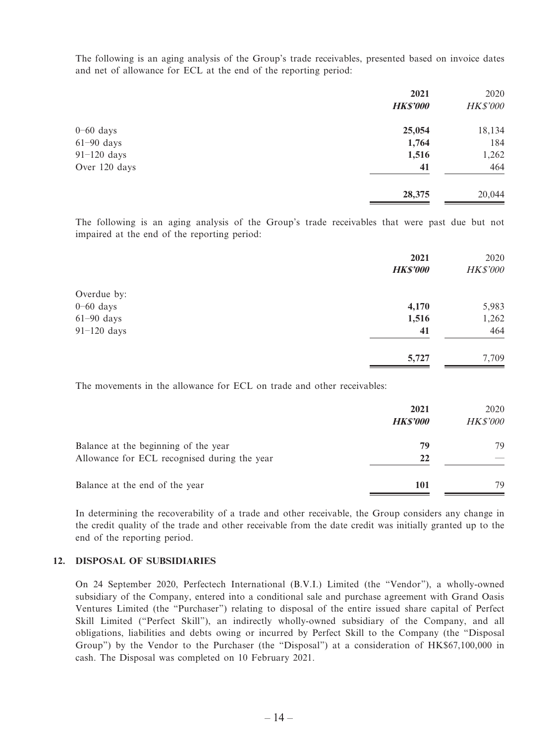The following is an aging analysis of the Group's trade receivables, presented based on invoice dates and net of allowance for ECL at the end of the reporting period:

| 2021            | 2020     |
|-----------------|----------|
| <b>HK\$'000</b> | HK\$'000 |
| 25,054          | 18,134   |
| 1,764           | 184      |
| 1,516           | 1,262    |
| 41              | 464      |
| 28,375          | 20,044   |
|                 |          |

The following is an aging analysis of the Group's trade receivables that were past due but not impaired at the end of the reporting period:

|               | 2021<br><b>HK\$'000</b> | 2020<br><b>HK\$'000</b> |
|---------------|-------------------------|-------------------------|
| Overdue by:   |                         |                         |
| $0 - 60$ days | 4,170                   | 5,983                   |
| $61-90$ days  | 1,516                   | 1,262                   |
| $91-120$ days | 41                      | 464                     |
|               | 5,727                   | 7,709                   |

The movements in the allowance for ECL on trade and other receivables:

|                                                                                      | 2021<br><b>HKS'000</b> | 2020<br><b>HK\$'000</b> |
|--------------------------------------------------------------------------------------|------------------------|-------------------------|
| Balance at the beginning of the year<br>Allowance for ECL recognised during the year | 79<br>22               | 79                      |
| Balance at the end of the year                                                       | 101                    | 79                      |

In determining the recoverability of a trade and other receivable, the Group considers any change in the credit quality of the trade and other receivable from the date credit was initially granted up to the end of the reporting period.

#### **12. DISPOSAL OF SUBSIDIARIES**

On 24 September 2020, Perfectech International (B.V.I.) Limited (the "Vendor"), a wholly-owned subsidiary of the Company, entered into a conditional sale and purchase agreement with Grand Oasis Ventures Limited (the "Purchaser") relating to disposal of the entire issued share capital of Perfect Skill Limited ("Perfect Skill"), an indirectly wholly-owned subsidiary of the Company, and all obligations, liabilities and debts owing or incurred by Perfect Skill to the Company (the "Disposal Group") by the Vendor to the Purchaser (the "Disposal") at a consideration of HK\$67,100,000 in cash. The Disposal was completed on 10 February 2021.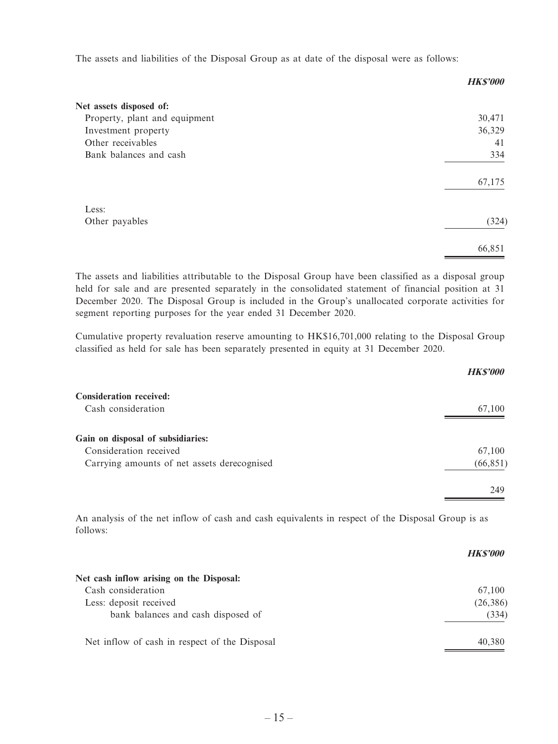The assets and liabilities of the Disposal Group as at date of the disposal were as follows:

|                               | ----v  |
|-------------------------------|--------|
| Net assets disposed of:       |        |
| Property, plant and equipment | 30,471 |
| Investment property           | 36,329 |
| Other receivables             | 41     |
| Bank balances and cash        | 334    |
|                               | 67,175 |
| Less:                         |        |
| Other payables                | (324)  |
|                               | 66,851 |

**HK\$'000**

The assets and liabilities attributable to the Disposal Group have been classified as a disposal group held for sale and are presented separately in the consolidated statement of financial position at 31 December 2020. The Disposal Group is included in the Group's unallocated corporate activities for segment reporting purposes for the year ended 31 December 2020.

Cumulative property revaluation reserve amounting to HK\$16,701,000 relating to the Disposal Group classified as held for sale has been separately presented in equity at 31 December 2020.

|                                             | <b>HK\$'000</b> |
|---------------------------------------------|-----------------|
| <b>Consideration received:</b>              |                 |
| Cash consideration                          | 67,100          |
| Gain on disposal of subsidiaries:           |                 |
| Consideration received                      | 67,100          |
| Carrying amounts of net assets derecognised | (66, 851)       |
|                                             | 249             |

An analysis of the net inflow of cash and cash equivalents in respect of the Disposal Group is as follows:

|                                               | <b>HKS'000</b> |
|-----------------------------------------------|----------------|
| Net cash inflow arising on the Disposal:      |                |
| Cash consideration                            | 67.100         |
| Less: deposit received                        | (26, 386)      |
| bank balances and cash disposed of            | (334)          |
| Net inflow of cash in respect of the Disposal | 40.380         |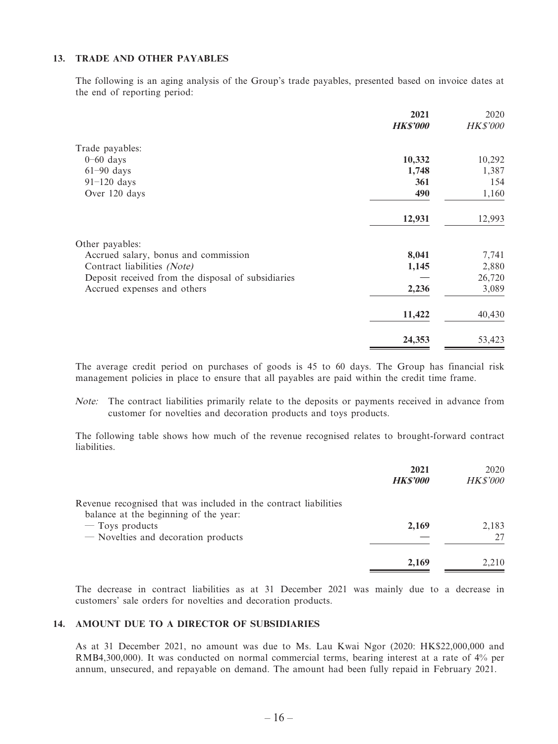#### **13. TRADE AND OTHER PAYABLES**

The following is an aging analysis of the Group's trade payables, presented based on invoice dates at the end of reporting period:

|                                                    | 2021           | 2020            |
|----------------------------------------------------|----------------|-----------------|
|                                                    | <b>HKS'000</b> | <b>HK\$'000</b> |
| Trade payables:                                    |                |                 |
| $0-60$ days                                        | 10,332         | 10,292          |
| $61-90$ days                                       | 1,748          | 1,387           |
| $91-120$ days                                      | 361            | 154             |
| Over 120 days                                      | 490            | 1,160           |
|                                                    | 12,931         | 12,993          |
| Other payables:                                    |                |                 |
| Accrued salary, bonus and commission               | 8,041          | 7,741           |
| Contract liabilities (Note)                        | 1,145          | 2,880           |
| Deposit received from the disposal of subsidiaries |                | 26,720          |
| Accrued expenses and others                        | 2,236          | 3,089           |
|                                                    | 11,422         | 40,430          |
|                                                    | 24,353         | 53,423          |

The average credit period on purchases of goods is 45 to 60 days. The Group has financial risk management policies in place to ensure that all payables are paid within the credit time frame.

Note: The contract liabilities primarily relate to the deposits or payments received in advance from customer for novelties and decoration products and toys products.

The following table shows how much of the revenue recognised relates to brought-forward contract liabilities.

|                                                                                                           | 2021<br><b>HK\$'000</b> | 2020<br><b>HK\$'000</b> |
|-----------------------------------------------------------------------------------------------------------|-------------------------|-------------------------|
| Revenue recognised that was included in the contract liabilities<br>balance at the beginning of the year: |                         |                         |
| $-$ Toys products                                                                                         | 2,169                   | 2,183                   |
| - Novelties and decoration products                                                                       |                         | 27                      |
|                                                                                                           | 2,169                   | 2.210                   |

The decrease in contract liabilities as at 31 December 2021 was mainly due to a decrease in customers' sale orders for novelties and decoration products.

#### **14. AMOUNT DUE TO A DIRECTOR OF SUBSIDIARIES**

As at 31 December 2021, no amount was due to Ms. Lau Kwai Ngor (2020: HK\$22,000,000 and RMB4,300,000). It was conducted on normal commercial terms, bearing interest at a rate of 4% per annum, unsecured, and repayable on demand. The amount had been fully repaid in February 2021.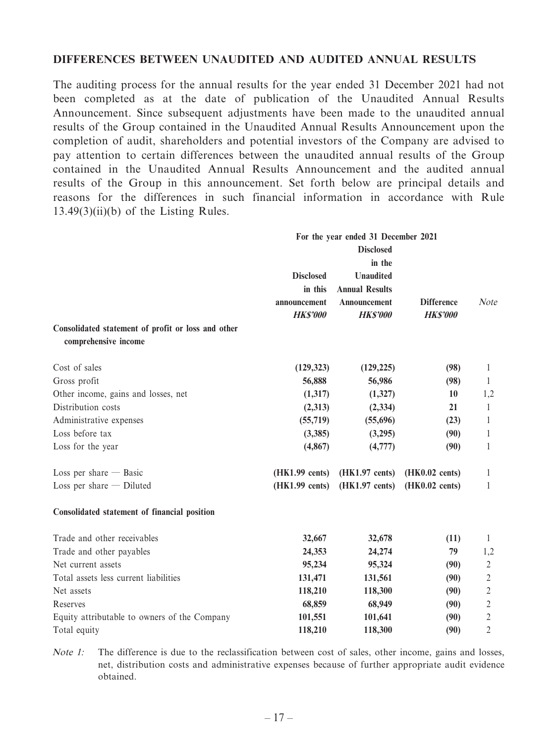#### **DIFFERENCES BETWEEN UNAUDITED AND AUDITED ANNUAL RESULTS**

The auditing process for the annual results for the year ended 31 December 2021 had not been completed as at the date of publication of the Unaudited Annual Results Announcement. Since subsequent adjustments have been made to the unaudited annual results of the Group contained in the Unaudited Annual Results Announcement upon the completion of audit, shareholders and potential investors of the Company are advised to pay attention to certain differences between the unaudited annual results of the Group contained in the Unaudited Annual Results Announcement and the audited annual results of the Group in this announcement. Set forth below are principal details and reasons for the differences in such financial information in accordance with Rule  $13.49(3)(ii)(b)$  of the Listing Rules.

|                                                    | For the year ended 31 December 2021         |                                                           |                   |                |  |
|----------------------------------------------------|---------------------------------------------|-----------------------------------------------------------|-------------------|----------------|--|
|                                                    | <b>Disclosed</b>                            |                                                           |                   |                |  |
|                                                    |                                             | in the                                                    |                   |                |  |
|                                                    | <b>Disclosed</b><br>in this<br>announcement | <b>Unaudited</b><br><b>Annual Results</b><br>Announcement |                   |                |  |
|                                                    |                                             |                                                           | <b>Difference</b> | Note           |  |
|                                                    |                                             |                                                           |                   |                |  |
|                                                    | <b>HK\$'000</b>                             | <b>HK\$'000</b>                                           | <b>HK\$'000</b>   |                |  |
| Consolidated statement of profit or loss and other |                                             |                                                           |                   |                |  |
| comprehensive income                               |                                             |                                                           |                   |                |  |
| Cost of sales                                      | (129, 323)                                  | (129, 225)                                                | (98)              | 1              |  |
| Gross profit                                       | 56,888                                      | 56,986                                                    | (98)              | 1              |  |
| Other income, gains and losses, net                | (1,317)                                     | (1,327)                                                   | 10                | 1,2            |  |
| Distribution costs                                 | (2,313)                                     | (2, 334)                                                  | 21                | 1              |  |
| Administrative expenses                            | (55,719)                                    | (55,696)                                                  | (23)              | 1              |  |
| Loss before tax                                    | (3,385)                                     | (3,295)                                                   | (90)              | 1              |  |
| Loss for the year                                  | (4, 867)                                    | (4,777)                                                   | (90)              | 1              |  |
| Loss per share $-$ Basic                           | (HK1.99 cents)                              | (HK1.97 cents)                                            | (HK0.02 cents)    | 1              |  |
| Loss per share $-$ Diluted                         | (HK1.99 cents)                              | $(HK1.97 \text{ cents})$                                  | (HK0.02 cents)    | 1              |  |
| Consolidated statement of financial position       |                                             |                                                           |                   |                |  |
| Trade and other receivables                        | 32,667                                      | 32,678                                                    | (11)              | 1              |  |
| Trade and other payables                           | 24,353                                      | 24,274                                                    | 79                | 1,2            |  |
| Net current assets                                 | 95,234                                      | 95,324                                                    | (90)              | $\mathfrak{2}$ |  |
| Total assets less current liabilities              | 131,471                                     | 131,561                                                   | (90)              | $\overline{c}$ |  |
| Net assets                                         | 118,210                                     | 118,300                                                   | (90)              | $\sqrt{2}$     |  |
| Reserves                                           | 68,859                                      | 68,949                                                    | (90)              | $\overline{2}$ |  |
| Equity attributable to owners of the Company       | 101,551                                     | 101,641                                                   | (90)              | $\overline{c}$ |  |
| Total equity                                       | 118,210                                     | 118,300                                                   | (90)              | 2              |  |
|                                                    |                                             |                                                           |                   |                |  |

Note 1: The difference is due to the reclassification between cost of sales, other income, gains and losses, net, distribution costs and administrative expenses because of further appropriate audit evidence obtained.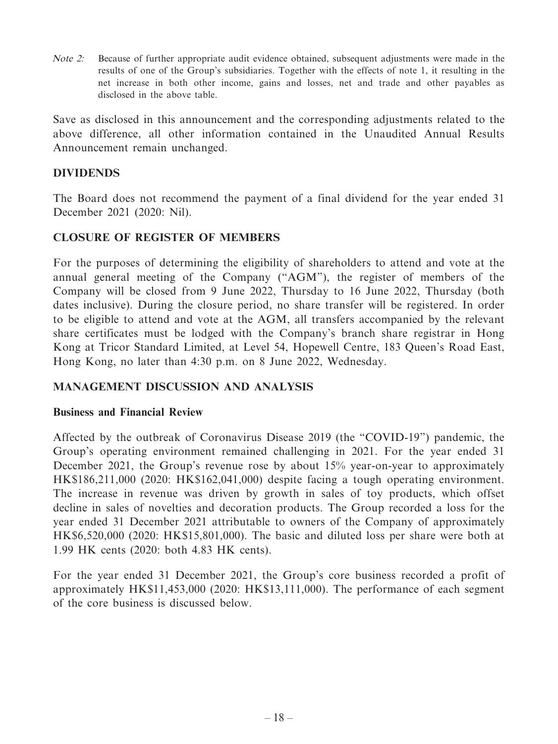Note 2: Because of further appropriate audit evidence obtained, subsequent adjustments were made in the results of one of the Group's subsidiaries. Together with the effects of note 1, it resulting in the net increase in both other income, gains and losses, net and trade and other payables as disclosed in the above table.

Save as disclosed in this announcement and the corresponding adjustments related to the above difference, all other information contained in the Unaudited Annual Results Announcement remain unchanged.

### **DIVIDENDS**

The Board does not recommend the payment of a final dividend for the year ended 31 December 2021 (2020: Nil).

### **CLOSURE OF REGISTER OF MEMBERS**

For the purposes of determining the eligibility of shareholders to attend and vote at the annual general meeting of the Company ("AGM"), the register of members of the Company will be closed from 9 June 2022, Thursday to 16 June 2022, Thursday (both dates inclusive). During the closure period, no share transfer will be registered. In order to be eligible to attend and vote at the AGM, all transfers accompanied by the relevant share certificates must be lodged with the Company's branch share registrar in Hong Kong at Tricor Standard Limited, at Level 54, Hopewell Centre, 183 Queen's Road East, Hong Kong, no later than 4:30 p.m. on 8 June 2022, Wednesday.

### **MANAGEMENT DISCUSSION AND ANALYSIS**

### **Business and Financial Review**

Affected by the outbreak of Coronavirus Disease 2019 (the "COVID-19") pandemic, the Group's operating environment remained challenging in 2021. For the year ended 31 December 2021, the Group's revenue rose by about 15% year-on-year to approximately HK\$186,211,000 (2020: HK\$162,041,000) despite facing a tough operating environment. The increase in revenue was driven by growth in sales of toy products, which offset decline in sales of novelties and decoration products. The Group recorded a loss for the year ended 31 December 2021 attributable to owners of the Company of approximately HK\$6,520,000 (2020: HK\$15,801,000). The basic and diluted loss per share were both at 1.99 HK cents (2020: both 4.83 HK cents).

For the year ended 31 December 2021, the Group's core business recorded a profit of approximately HK\$11,453,000 (2020: HK\$13,111,000). The performance of each segment of the core business is discussed below.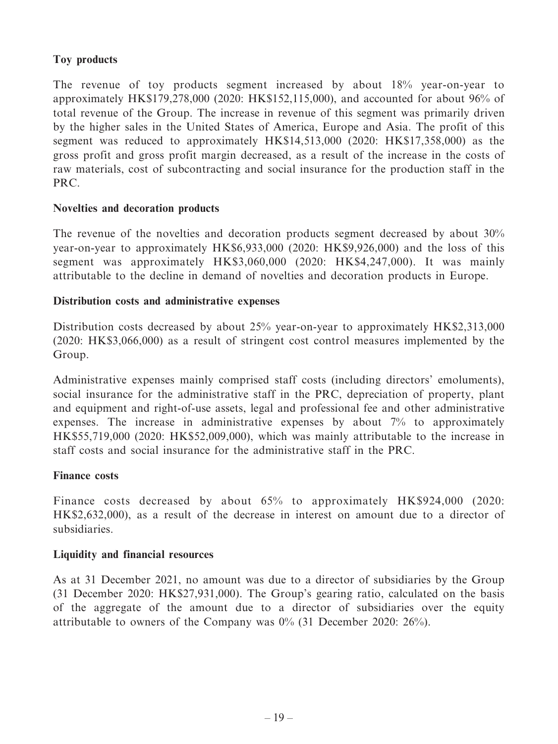### **Toy products**

The revenue of toy products segment increased by about 18% year-on-year to approximately HK\$179,278,000 (2020: HK\$152,115,000), and accounted for about 96% of total revenue of the Group. The increase in revenue of this segment was primarily driven by the higher sales in the United States of America, Europe and Asia. The profit of this segment was reduced to approximately HK\$14,513,000 (2020: HK\$17,358,000) as the gross profit and gross profit margin decreased, as a result of the increase in the costs of raw materials, cost of subcontracting and social insurance for the production staff in the PRC.

### **Novelties and decoration products**

The revenue of the novelties and decoration products segment decreased by about 30% year-on-year to approximately HK\$6,933,000 (2020: HK\$9,926,000) and the loss of this segment was approximately HK\$3,060,000 (2020: HK\$4,247,000). It was mainly attributable to the decline in demand of novelties and decoration products in Europe.

#### **Distribution costs and administrative expenses**

Distribution costs decreased by about 25% year-on-year to approximately HK\$2,313,000 (2020: HK\$3,066,000) as a result of stringent cost control measures implemented by the Group.

Administrative expenses mainly comprised staff costs (including directors' emoluments), social insurance for the administrative staff in the PRC, depreciation of property, plant and equipment and right-of-use assets, legal and professional fee and other administrative expenses. The increase in administrative expenses by about 7% to approximately HK\$55,719,000 (2020: HK\$52,009,000), which was mainly attributable to the increase in staff costs and social insurance for the administrative staff in the PRC.

#### **Finance costs**

Finance costs decreased by about 65% to approximately HK\$924,000 (2020: HK\$2,632,000), as a result of the decrease in interest on amount due to a director of subsidiaries.

#### **Liquidity and financial resources**

As at 31 December 2021, no amount was due to a director of subsidiaries by the Group (31 December 2020: HK\$27,931,000). The Group's gearing ratio, calculated on the basis of the aggregate of the amount due to a director of subsidiaries over the equity attributable to owners of the Company was 0% (31 December 2020: 26%).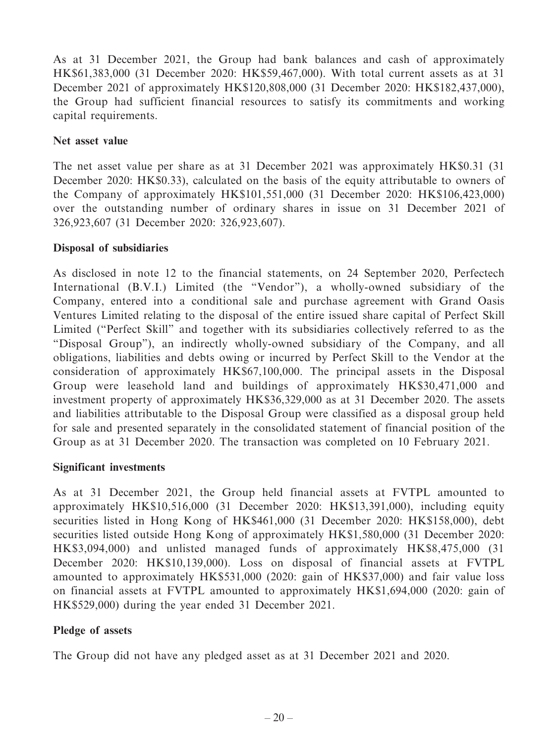As at 31 December 2021, the Group had bank balances and cash of approximately HK\$61,383,000 (31 December 2020: HK\$59,467,000). With total current assets as at 31 December 2021 of approximately HK\$120,808,000 (31 December 2020: HK\$182,437,000), the Group had sufficient financial resources to satisfy its commitments and working capital requirements.

### **Net asset value**

The net asset value per share as at 31 December 2021 was approximately HK\$0.31 (31 December 2020: HK\$0.33), calculated on the basis of the equity attributable to owners of the Company of approximately HK\$101,551,000 (31 December 2020: HK\$106,423,000) over the outstanding number of ordinary shares in issue on 31 December 2021 of 326,923,607 (31 December 2020: 326,923,607).

### **Disposal of subsidiaries**

As disclosed in note 12 to the financial statements, on 24 September 2020, Perfectech International (B.V.I.) Limited (the "Vendor"), a wholly-owned subsidiary of the Company, entered into a conditional sale and purchase agreement with Grand Oasis Ventures Limited relating to the disposal of the entire issued share capital of Perfect Skill Limited ("Perfect Skill" and together with its subsidiaries collectively referred to as the "Disposal Group"), an indirectly wholly-owned subsidiary of the Company, and all obligations, liabilities and debts owing or incurred by Perfect Skill to the Vendor at the consideration of approximately HK\$67,100,000. The principal assets in the Disposal Group were leasehold land and buildings of approximately HK\$30,471,000 and investment property of approximately HK\$36,329,000 as at 31 December 2020. The assets and liabilities attributable to the Disposal Group were classified as a disposal group held for sale and presented separately in the consolidated statement of financial position of the Group as at 31 December 2020. The transaction was completed on 10 February 2021.

### **Significant investments**

As at 31 December 2021, the Group held financial assets at FVTPL amounted to approximately HK\$10,516,000 (31 December 2020: HK\$13,391,000), including equity securities listed in Hong Kong of HK\$461,000 (31 December 2020: HK\$158,000), debt securities listed outside Hong Kong of approximately HK\$1,580,000 (31 December 2020: HK\$3,094,000) and unlisted managed funds of approximately HK\$8,475,000 (31 December 2020: HK\$10,139,000). Loss on disposal of financial assets at FVTPL amounted to approximately HK\$531,000 (2020: gain of HK\$37,000) and fair value loss on financial assets at FVTPL amounted to approximately HK\$1,694,000 (2020: gain of HK\$529,000) during the year ended 31 December 2021.

# **Pledge of assets**

The Group did not have any pledged asset as at 31 December 2021 and 2020.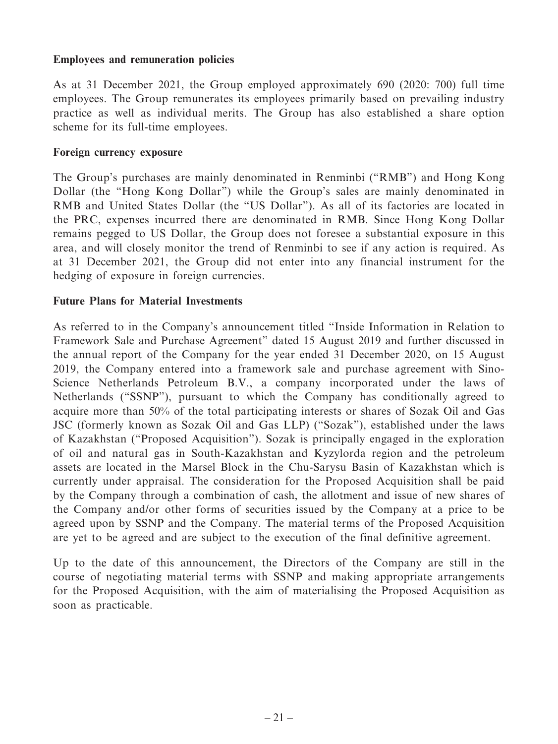#### **Employees and remuneration policies**

As at 31 December 2021, the Group employed approximately 690 (2020: 700) full time employees. The Group remunerates its employees primarily based on prevailing industry practice as well as individual merits. The Group has also established a share option scheme for its full-time employees.

#### **Foreign currency exposure**

The Group's purchases are mainly denominated in Renminbi ("RMB") and Hong Kong Dollar (the "Hong Kong Dollar") while the Group's sales are mainly denominated in RMB and United States Dollar (the "US Dollar"). As all of its factories are located in the PRC, expenses incurred there are denominated in RMB. Since Hong Kong Dollar remains pegged to US Dollar, the Group does not foresee a substantial exposure in this area, and will closely monitor the trend of Renminbi to see if any action is required. As at 31 December 2021, the Group did not enter into any financial instrument for the hedging of exposure in foreign currencies.

#### **Future Plans for Material Investments**

As referred to in the Company's announcement titled "Inside Information in Relation to Framework Sale and Purchase Agreement" dated 15 August 2019 and further discussed in the annual report of the Company for the year ended 31 December 2020, on 15 August 2019, the Company entered into a framework sale and purchase agreement with Sino-Science Netherlands Petroleum B.V., a company incorporated under the laws of Netherlands ("SSNP"), pursuant to which the Company has conditionally agreed to acquire more than 50% of the total participating interests or shares of Sozak Oil and Gas JSC (formerly known as Sozak Oil and Gas LLP) ("Sozak"), established under the laws of Kazakhstan ("Proposed Acquisition"). Sozak is principally engaged in the exploration of oil and natural gas in South-Kazakhstan and Kyzylorda region and the petroleum assets are located in the Marsel Block in the Chu-Sarysu Basin of Kazakhstan which is currently under appraisal. The consideration for the Proposed Acquisition shall be paid by the Company through a combination of cash, the allotment and issue of new shares of the Company and/or other forms of securities issued by the Company at a price to be agreed upon by SSNP and the Company. The material terms of the Proposed Acquisition are yet to be agreed and are subject to the execution of the final definitive agreement.

Up to the date of this announcement, the Directors of the Company are still in the course of negotiating material terms with SSNP and making appropriate arrangements for the Proposed Acquisition, with the aim of materialising the Proposed Acquisition as soon as practicable.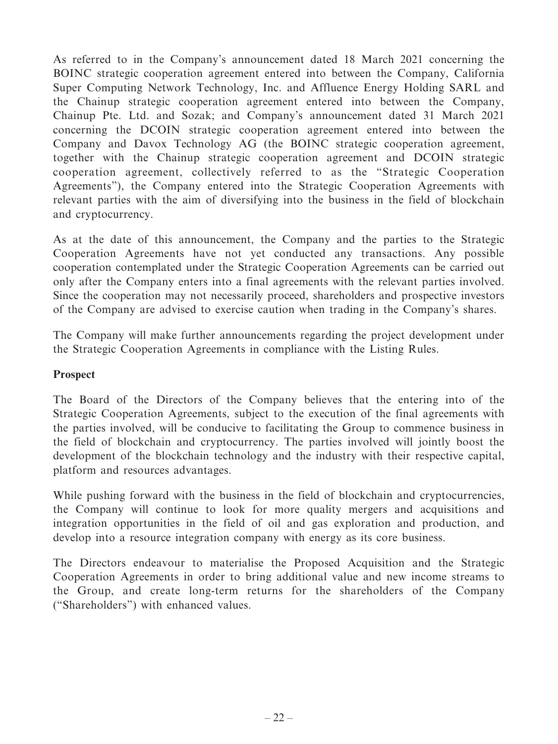As referred to in the Company's announcement dated 18 March 2021 concerning the BOINC strategic cooperation agreement entered into between the Company, California Super Computing Network Technology, Inc. and Affluence Energy Holding SARL and the Chainup strategic cooperation agreement entered into between the Company, Chainup Pte. Ltd. and Sozak; and Company's announcement dated 31 March 2021 concerning the DCOIN strategic cooperation agreement entered into between the Company and Davox Technology AG (the BOINC strategic cooperation agreement, together with the Chainup strategic cooperation agreement and DCOIN strategic cooperation agreement, collectively referred to as the "Strategic Cooperation Agreements"), the Company entered into the Strategic Cooperation Agreements with relevant parties with the aim of diversifying into the business in the field of blockchain and cryptocurrency.

As at the date of this announcement, the Company and the parties to the Strategic Cooperation Agreements have not yet conducted any transactions. Any possible cooperation contemplated under the Strategic Cooperation Agreements can be carried out only after the Company enters into a final agreements with the relevant parties involved. Since the cooperation may not necessarily proceed, shareholders and prospective investors of the Company are advised to exercise caution when trading in the Company's shares.

The Company will make further announcements regarding the project development under the Strategic Cooperation Agreements in compliance with the Listing Rules.

### **Prospect**

The Board of the Directors of the Company believes that the entering into of the Strategic Cooperation Agreements, subject to the execution of the final agreements with the parties involved, will be conducive to facilitating the Group to commence business in the field of blockchain and cryptocurrency. The parties involved will jointly boost the development of the blockchain technology and the industry with their respective capital, platform and resources advantages.

While pushing forward with the business in the field of blockchain and cryptocurrencies, the Company will continue to look for more quality mergers and acquisitions and integration opportunities in the field of oil and gas exploration and production, and develop into a resource integration company with energy as its core business.

The Directors endeavour to materialise the Proposed Acquisition and the Strategic Cooperation Agreements in order to bring additional value and new income streams to the Group, and create long-term returns for the shareholders of the Company ("Shareholders") with enhanced values.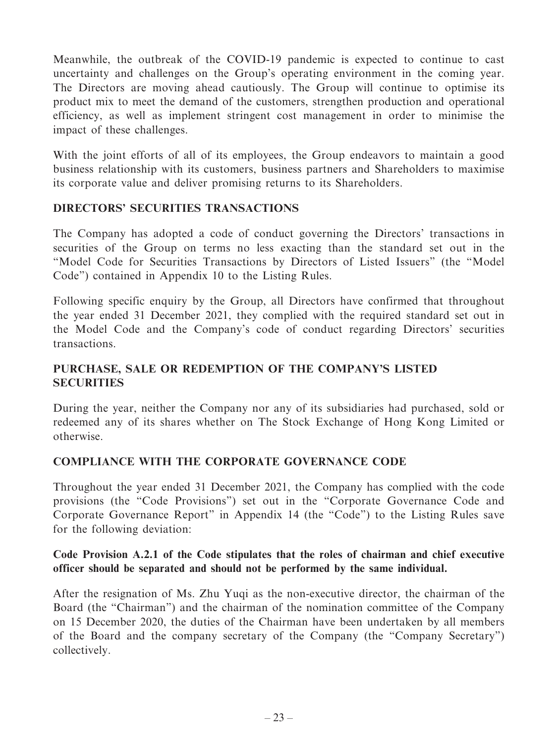Meanwhile, the outbreak of the COVID-19 pandemic is expected to continue to cast uncertainty and challenges on the Group's operating environment in the coming year. The Directors are moving ahead cautiously. The Group will continue to optimise its product mix to meet the demand of the customers, strengthen production and operational efficiency, as well as implement stringent cost management in order to minimise the impact of these challenges.

With the joint efforts of all of its employees, the Group endeavors to maintain a good business relationship with its customers, business partners and Shareholders to maximise its corporate value and deliver promising returns to its Shareholders.

### **DIRECTORS' SECURITIES TRANSACTIONS**

The Company has adopted a code of conduct governing the Directors' transactions in securities of the Group on terms no less exacting than the standard set out in the "Model Code for Securities Transactions by Directors of Listed Issuers" (the "Model Code") contained in Appendix 10 to the Listing Rules.

Following specific enquiry by the Group, all Directors have confirmed that throughout the year ended 31 December 2021, they complied with the required standard set out in the Model Code and the Company's code of conduct regarding Directors' securities transactions.

# **PURCHASE, SALE OR REDEMPTION OF THE COMPANY'S LISTED SECURITIES**

During the year, neither the Company nor any of its subsidiaries had purchased, sold or redeemed any of its shares whether on The Stock Exchange of Hong Kong Limited or otherwise.

# **COMPLIANCE WITH THE CORPORATE GOVERNANCE CODE**

Throughout the year ended 31 December 2021, the Company has complied with the code provisions (the "Code Provisions") set out in the "Corporate Governance Code and Corporate Governance Report" in Appendix 14 (the "Code") to the Listing Rules save for the following deviation:

### **Code Provision A.2.1 of the Code stipulates that the roles of chairman and chief executive officer should be separated and should not be performed by the same individual.**

After the resignation of Ms. Zhu Yuqi as the non-executive director, the chairman of the Board (the "Chairman") and the chairman of the nomination committee of the Company on 15 December 2020, the duties of the Chairman have been undertaken by all members of the Board and the company secretary of the Company (the "Company Secretary") collectively.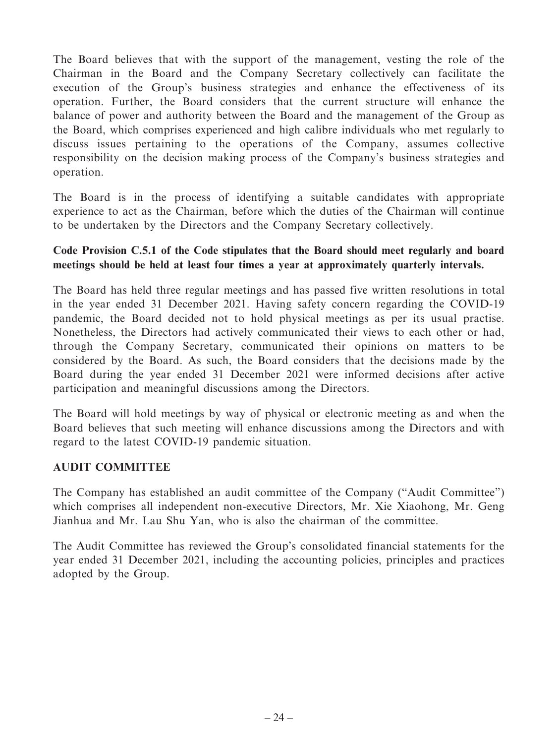The Board believes that with the support of the management, vesting the role of the Chairman in the Board and the Company Secretary collectively can facilitate the execution of the Group's business strategies and enhance the effectiveness of its operation. Further, the Board considers that the current structure will enhance the balance of power and authority between the Board and the management of the Group as the Board, which comprises experienced and high calibre individuals who met regularly to discuss issues pertaining to the operations of the Company, assumes collective responsibility on the decision making process of the Company's business strategies and operation.

The Board is in the process of identifying a suitable candidates with appropriate experience to act as the Chairman, before which the duties of the Chairman will continue to be undertaken by the Directors and the Company Secretary collectively.

### **Code Provision C.5.1 of the Code stipulates that the Board should meet regularly and board meetings should be held at least four times a year at approximately quarterly intervals.**

The Board has held three regular meetings and has passed five written resolutions in total in the year ended 31 December 2021. Having safety concern regarding the COVID-19 pandemic, the Board decided not to hold physical meetings as per its usual practise. Nonetheless, the Directors had actively communicated their views to each other or had, through the Company Secretary, communicated their opinions on matters to be considered by the Board. As such, the Board considers that the decisions made by the Board during the year ended 31 December 2021 were informed decisions after active participation and meaningful discussions among the Directors.

The Board will hold meetings by way of physical or electronic meeting as and when the Board believes that such meeting will enhance discussions among the Directors and with regard to the latest COVID-19 pandemic situation.

### **AUDIT COMMITTEE**

The Company has established an audit committee of the Company ("Audit Committee") which comprises all independent non-executive Directors, Mr. Xie Xiaohong, Mr. Geng Jianhua and Mr. Lau Shu Yan, who is also the chairman of the committee.

The Audit Committee has reviewed the Group's consolidated financial statements for the year ended 31 December 2021, including the accounting policies, principles and practices adopted by the Group.